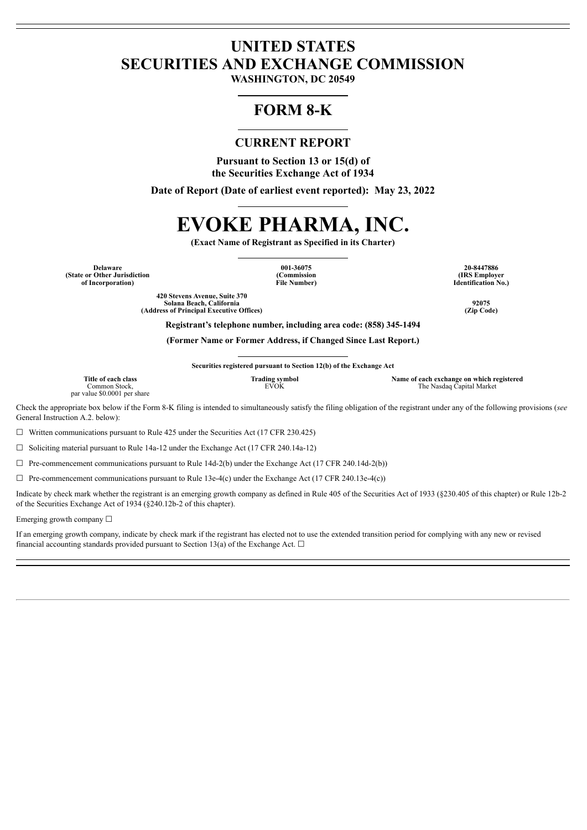## **UNITED STATES SECURITIES AND EXCHANGE COMMISSION**

**WASHINGTON, DC 20549**

## **FORM 8-K**

### **CURRENT REPORT**

**Pursuant to Section 13 or 15(d) of the Securities Exchange Act of 1934**

**Date of Report (Date of earliest event reported): May 23, 2022**

# **EVOKE PHARMA, INC.**

**(Exact Name of Registrant as Specified in its Charter)**

**Delaware 001-36075 20-8447886 (State or Other Jurisdiction of Incorporation)**

**(Commission File Number)**

**(IRS Employer Identification No.)**

**420 Stevens Avenue, Suite 370 Solana Beach, California 92075 (Address of Principal Executive Offices) (Zip Code)**

**Registrant's telephone number, including area code: (858) 345-1494**

**(Former Name or Former Address, if Changed Since Last Report.)**

**Securities registered pursuant to Section 12(b) of the Exchange Act**

| Title of each class                                                                                | <b>Trading symbol</b> | Name of each exchange on which registered |
|----------------------------------------------------------------------------------------------------|-----------------------|-------------------------------------------|
| Common Stock.                                                                                      | <b>EVOK</b>           | The Nasdaq Capital Market                 |
| $\uparrow$ $\uparrow$ $\uparrow$ $\uparrow$ $\uparrow$ $\uparrow$ $\uparrow$ $\uparrow$ $\uparrow$ |                       |                                           |

par value \$0.0001 per share

Check the appropriate box below if the Form 8-K filing is intended to simultaneously satisfy the filing obligation of the registrant under any of the following provisions (*see* General Instruction A.2. below):

 $\Box$  Written communications pursuant to Rule 425 under the Securities Act (17 CFR 230.425)

 $\Box$  Soliciting material pursuant to Rule 14a-12 under the Exchange Act (17 CFR 240.14a-12)

 $\Box$  Pre-commencement communications pursuant to Rule 14d-2(b) under the Exchange Act (17 CFR 240.14d-2(b))

 $\Box$  Pre-commencement communications pursuant to Rule 13e-4(c) under the Exchange Act (17 CFR 240.13e-4(c))

Indicate by check mark whether the registrant is an emerging growth company as defined in Rule 405 of the Securities Act of 1933 (§230.405 of this chapter) or Rule 12b-2 of the Securities Exchange Act of 1934 (§240.12b-2 of this chapter).

Emerging growth company  $\Box$ 

If an emerging growth company, indicate by check mark if the registrant has elected not to use the extended transition period for complying with any new or revised financial accounting standards provided pursuant to Section 13(a) of the Exchange Act.  $\Box$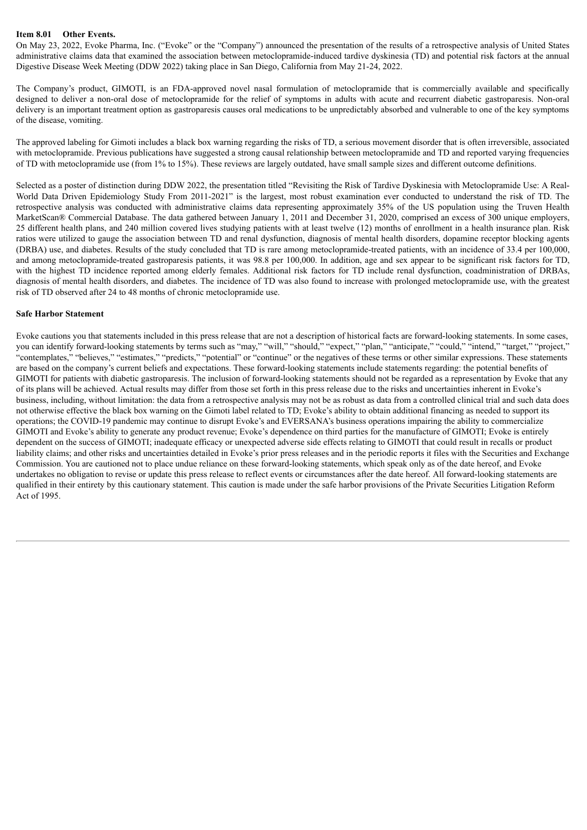### **Item 8.01 Other Events.**

On May 23, 2022, Evoke Pharma, Inc. ("Evoke" or the "Company") announced the presentation of the results of a retrospective analysis of United States administrative claims data that examined the association between metoclopramide-induced tardive dyskinesia (TD) and potential risk factors at the annual Digestive Disease Week Meeting (DDW 2022) taking place in San Diego, California from May 21-24, 2022.

The Company's product, GIMOTI, is an FDA-approved novel nasal formulation of metoclopramide that is commercially available and specifically designed to deliver a non-oral dose of metoclopramide for the relief of symptoms in adults with acute and recurrent diabetic gastroparesis. Non-oral delivery is an important treatment option as gastroparesis causes oral medications to be unpredictably absorbed and vulnerable to one of the key symptoms of the disease, vomiting.

The approved labeling for Gimoti includes a black box warning regarding the risks of TD, a serious movement disorder that is often irreversible, associated with metoclopramide. Previous publications have suggested a strong causal relationship between metoclopramide and TD and reported varying frequencies of TD with metoclopramide use (from 1% to 15%). These reviews are largely outdated, have small sample sizes and different outcome definitions.

Selected as a poster of distinction during DDW 2022, the presentation titled "Revisiting the Risk of Tardive Dyskinesia with Metoclopramide Use: A Real-World Data Driven Epidemiology Study From 2011-2021" is the largest, most robust examination ever conducted to understand the risk of TD. The retrospective analysis was conducted with administrative claims data representing approximately 35% of the US population using the Truven Health MarketScan® Commercial Database. The data gathered between January 1, 2011 and December 31, 2020, comprised an excess of 300 unique employers, 25 different health plans, and 240 million covered lives studying patients with at least twelve (12) months of enrollment in a health insurance plan. Risk ratios were utilized to gauge the association between TD and renal dysfunction, diagnosis of mental health disorders, dopamine receptor blocking agents (DRBA) use, and diabetes. Results of the study concluded that TD is rare among metoclopramide-treated patients, with an incidence of 33.4 per 100,000, and among metoclopramide-treated gastroparesis patients, it was 98.8 per 100,000. In addition, age and sex appear to be significant risk factors for TD, with the highest TD incidence reported among elderly females. Additional risk factors for TD include renal dysfunction, coadministration of DRBAs, diagnosis of mental health disorders, and diabetes. The incidence of TD was also found to increase with prolonged metoclopramide use, with the greatest risk of TD observed after 24 to 48 months of chronic metoclopramide use.

#### **Safe Harbor Statement**

Evoke cautions you that statements included in this press release that are not a description of historical facts are forward-looking statements. In some cases, you can identify forward-looking statements by terms such as "may," "will," "should," "expect," "plan," "anticipate," "could," "intend," "target," "project," "contemplates," "believes," "estimates," "predicts," "potential" or "continue" or the negatives of these terms or other similar expressions. These statements are based on the company's current beliefs and expectations. These forward-looking statements include statements regarding: the potential benefits of GIMOTI for patients with diabetic gastroparesis. The inclusion of forward-looking statements should not be regarded as a representation by Evoke that any of its plans will be achieved. Actual results may differ from those set forth in this press release due to the risks and uncertainties inherent in Evoke's business, including, without limitation: the data from a retrospective analysis may not be as robust as data from a controlled clinical trial and such data does not otherwise effective the black box warning on the Gimoti label related to TD; Evoke's ability to obtain additional financing as needed to support its operations; the COVID-19 pandemic may continue to disrupt Evoke's and EVERSANA's business operations impairing the ability to commercialize GIMOTI and Evoke's ability to generate any product revenue; Evoke's dependence on third parties for the manufacture of GIMOTI; Evoke is entirely dependent on the success of GIMOTI; inadequate efficacy or unexpected adverse side effects relating to GIMOTI that could result in recalls or product liability claims; and other risks and uncertainties detailed in Evoke's prior press releases and in the periodic reports it files with the Securities and Exchange Commission. You are cautioned not to place undue reliance on these forward-looking statements, which speak only as of the date hereof, and Evoke undertakes no obligation to revise or update this press release to reflect events or circumstances after the date hereof. All forward-looking statements are qualified in their entirety by this cautionary statement. This caution is made under the safe harbor provisions of the Private Securities Litigation Reform Act of 1995.